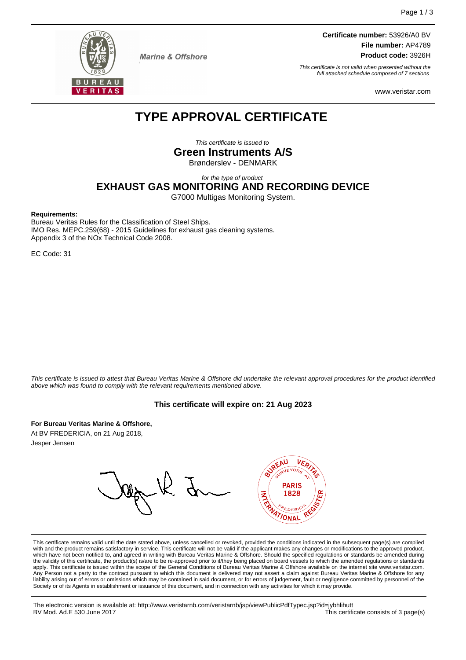

**Marine & Offshore** 

**Certificate number:** 53926/A0 BV **File number:** AP4789 **Product code:** 3926H

This certificate is not valid when presented without the full attached schedule composed of 7 sections

www.veristar.com

# **TYPE APPROVAL CERTIFICATE**

This certificate is issued to **Green Instruments A/S**

Brønderslev - DENMARK

for the type of product

**EXHAUST GAS MONITORING AND RECORDING DEVICE**

G7000 Multigas Monitoring System.

#### **Requirements:**

Bureau Veritas Rules for the Classification of Steel Ships. IMO Res. MEPC.259(68) - 2015 Guidelines for exhaust gas cleaning systems. Appendix 3 of the NOx Technical Code 2008.

EC Code: 31

This certificate is issued to attest that Bureau Veritas Marine & Offshore did undertake the relevant approval procedures for the product identified above which was found to comply with the relevant requirements mentioned above.

#### **This certificate will expire on: 21 Aug 2023**

**For Bureau Veritas Marine & Offshore,**

At BV FREDERICIA, on 21 Aug 2018, Jesper Jensen

**UREAU PARIS** 1828 Z **TONA** 

This certificate remains valid until the date stated above, unless cancelled or revoked, provided the conditions indicated in the subsequent page(s) are complied with and the product remains satisfactory in service. This certificate will not be valid if the applicant makes any changes or modifications to the approved product, which have not been notified to, and agreed in writing with Bureau Veritas Marine & Offshore. Should the specified regulations or standards be amended during<br>the validity of this certificate, the product(s) is/are to be re apply. This certificate is issued within the scope of the General Conditions of Bureau Veritas Marine & Offshore available on the internet site www.veristar.com. Any Person not a party to the contract pursuant to which this document is delivered may not assert a claim against Bureau Veritas Marine & Offshore for any liability arising out of errors or omissions which may be contained in said document, or for errors of judgement, fault or negligence committed by personnel of the<br>Society or of its Agents in establishment or issuance of t

The electronic version is available at: http://www.veristarnb.com/veristarnb/jsp/viewPublicPdfTypec.jsp?id=jybhlihutt This certificate consists of 3 page(s)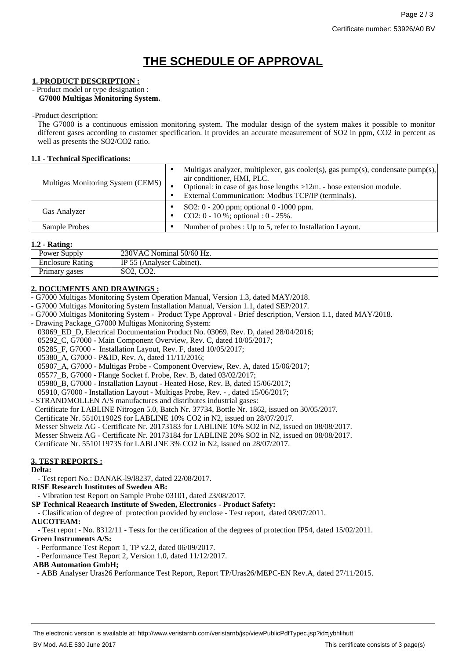# **THE SCHEDULE OF APPROVAL**

### **1. PRODUCT DESCRIPTION :**

#### - Product model or type designation : **G7000 Multigas Monitoring System.**

-Product description:

The G7000 is a continuous emission monitoring system. The modular design of the system makes it possible to monitor different gases according to customer specification. It provides an accurate measurement of SO2 in ppm, CO2 in percent as well as presents the SO2/CO2 ratio.

## **1.1 - Technical Specifications:**

| Multigas Monitoring System (CEMS) | Multigas analyzer, multiplexer, gas cooler(s), gas $pump(s)$ , condensate $pump(s)$ ,<br>air conditioner, HMI, PLC.<br>Optional: in case of gas hose lengths $>12m$ . - hose extension module.<br>External Communication: Modbus TCP/IP (terminals). |
|-----------------------------------|------------------------------------------------------------------------------------------------------------------------------------------------------------------------------------------------------------------------------------------------------|
| <b>Gas Analyzer</b>               | SO2: 0 - 200 ppm; optional 0 -1000 ppm.<br>CO2: $0 - 10$ %; optional : $0 - 25$ %.                                                                                                                                                                   |
| Sample Probes                     | Number of probes : Up to 5, refer to Installation Layout.                                                                                                                                                                                            |

### **1.2 - Rating:**

| Power Supply     | 230VAC!<br>Nominal 50/60 Hz.             |
|------------------|------------------------------------------|
| Enclosure Rating | 55 <sub>1</sub><br>Cabinet).<br>Analyser |
| Primary gases    | $\sqrt{2}$<br>AO.<br>COZ.<br>J∪4, ⊺      |

## **2. DOCUMENTS AND DRAWINGS :**

- G7000 Multigas Monitoring System Operation Manual, Version 1.3, dated MAY/2018.
- G7000 Multigas Monitoring System Installation Manual, Version 1.1, dated SEP/2017.
- G7000 Multigas Monitoring System Product Type Approval Brief description, Version 1.1, dated MAY/2018.
- Drawing Package G7000 Multigas Monitoring System:
- 03069 ED D, Electrical Documentation Product No. 03069, Rev. D, dated 28/04/2016;
- 05292\_C, G7000 Main Component Overview, Rev. C, dated 10/05/2017;
- 05285\_F, G7000 Installation Layout, Rev. F, dated 10/05/2017;

05380\_A, G7000 - P&ID, Rev. A, dated 11/11/2016;

05907\_A, G7000 - Multigas Probe - Component Overview, Rev. A, dated 15/06/2017;

- 05577\_B, G7000 Flange Socket f. Probe, Rev. B, dated 03/02/2017;
- 05980\_B, G7000 Installation Layout Heated Hose, Rev. B, dated 15/06/2017;

05910, G7000 - Installation Layout - Multigas Probe, Rev. - , dated 15/06/2017;

- STRANDMOLLEN A/S manufactures and distributes industrial gases:

Certificate for LABLINE Nitrogen 5.0, Batch Nr. 37734, Bottle Nr. 1862, issued on 30/05/2017.

Certificate Nr. 551011902S for LABLINE 10% CO2 in N2, issued on 28/07/2017.

- Messer Shweiz AG Certificate Nr. 20173183 for LABLINE 10% SO2 in N2, issued on 08/08/2017.
- Messer Shweiz AG Certificate Nr. 20173184 for LABLINE 20% SO2 in N2, issued on 08/08/2017.

Certificate Nr. 551011973S for LABLINE 3% CO2 in N2, issued on 28/07/2017.

## **3. TEST REPORTS :**

## **Delta:**

- Test report No.: DANAK-l9/l8237, dated 22/08/2017.

**RISE Research Institutes of Sweden AB:**

**-** Vibration test Report on Sample Probe 03101, dated 23/08/2017.

**SP Technical Reaearch Institute of Sweden, Electronics - Product Safety:**

- Clasification of degree of protection provided by enclose - Test report, dated 08/07/2011.

#### **AUCOTEAM:**

- Test report - No. 8312/11 - Tests for the certification of the degrees of protection IP54, dated 15/02/2011.

## **Green Instruments A/S:**

- Performance Test Report 1, TP v2.2, dated 06/09/2017.

- Performance Test Report 2, Version 1.0, dated 11/12/2017.

#### **ABB Automation GmbH;**

- ABB Analyser Uras26 Performance Test Report, Report TP/Uras26/MEPC-EN Rev.A, dated 27/11/2015.